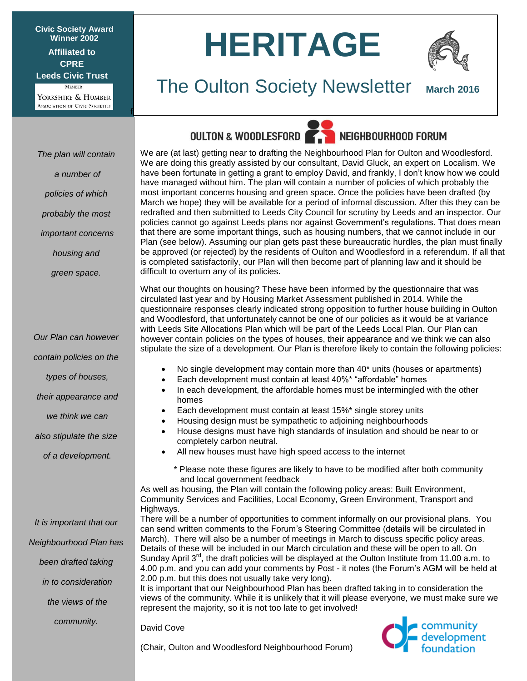**Civic Society Award Winner 2002 Affiliated to CPRE Leeds Civic Trust MEMBER** 

YORKSHIRE & HUMBER ASSOCIATION OF CIVIC SOCIETIES

*The plan will contain*

*a number of* 

*policies of which* 

*probably the most*

*important concerns*

*housing and* 

*green space.*

f

# **HERITAGE**



### The Oulton Society Newsletter **March 2016**

### OULTON & WOODLESFORD **The NEIGHBOURHOOD FORUM**



We are (at last) getting near to drafting the Neighbourhood Plan for Oulton and Woodlesford. We are doing this greatly assisted by our consultant, David Gluck, an expert on Localism. We have been fortunate in getting a grant to employ David, and frankly, I don't know how we could have managed without him. The plan will contain a number of policies of which probably the most important concerns housing and green space. Once the policies have been drafted (by March we hope) they will be available for a period of informal discussion. After this they can be redrafted and then submitted to Leeds City Council for scrutiny by Leeds and an inspector. Our policies cannot go against Leeds plans nor against Government's regulations. That does mean that there are some important things, such as housing numbers, that we cannot include in our Plan (see below). Assuming our plan gets past these bureaucratic hurdles, the plan must finally be approved (or rejected) by the residents of Oulton and Woodlesford in a referendum. If all that is completed satisfactorily, our Plan will then become part of planning law and it should be difficult to overturn any of its policies.

What our thoughts on housing? These have been informed by the questionnaire that was circulated last year and by Housing Market Assessment published in 2014. While the questionnaire responses clearly indicated strong opposition to further house building in Oulton and Woodlesford, that unfortunately cannot be one of our policies as it would be at variance with Leeds Site Allocations Plan which will be part of the Leeds Local Plan. Our Plan can however contain policies on the types of houses, their appearance and we think we can also stipulate the size of a development. Our Plan is therefore likely to contain the following policies:

- No single development may contain more than 40\* units (houses or apartments)
	- Each development must contain at least 40%\* "affordable" homes
- In each development, the affordable homes must be intermingled with the other homes
- Each development must contain at least 15%\* single storey units
- Housing design must be sympathetic to adjoining neighbourhoods
- House designs must have high standards of insulation and should be near to or completely carbon neutral.
- All new houses must have high speed access to the internet
	- \* Please note these figures are likely to have to be modified after both community and local government feedback

As well as housing, the Plan will contain the following policy areas: Built Environment, Community Services and Facilities, Local Economy, Green Environment, Transport and Highways.

There will be a number of opportunities to comment informally on our provisional plans. You can send written comments to the Forum's Steering Committee (details will be circulated in March). There will also be a number of meetings in March to discuss specific policy areas. Details of these will be included in our March circulation and these will be open to all. On Sunday April 3<sup>rd</sup>, the draft policies will be displayed at the Oulton Institute from 11.00 a.m. to 4.00 p.m. and you can add your comments by Post - it notes (the Forum's AGM will be held at 2.00 p.m. but this does not usually take very long).

It is important that our Neighbourhood Plan has been drafted taking in to consideration the views of the community. While it is unlikely that it will please everyone, we must make sure we represent the majority, so it is not too late to get involved!

David Cove



(Chair, Oulton and Woodlesford Neighbourhood Forum)

*contain policies on the*

*Our Plan can however*

*types of houses,*

*their appearance and*

*we think we can*

*also stipulate the size*

*of a development.*

*It is important that our Neighbourhood Plan has been drafted taking in to consideration the views of the* 

*community.*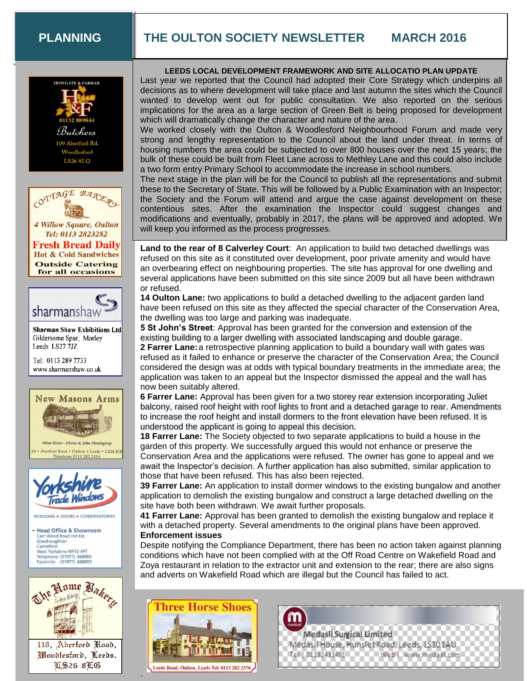#### **PLANNING**

### **THE OULTON SOCIETY NEWSLETTER MARCH 2016**





**4 Willow Square, Oulton** Tel: 0113 2823282 **Fresh Bread Daily Hot & Cold Sandwiches Outside Catering** for all occasions



**Sharman Shaw Exhibitions Ltd** Gildersome Spur, Morley Leeds LS27 7JZ

Tel: 0113 289 7733 www.sharmanshaw.co.uk



Aberford Road . Oulton . Leeds . LS26 8TF one 0113 282 2334



WINDOWS - DOORS - CONSERVATORIES





Woodlesford, Leeds. **TS26 8TG** 

#### **LEEDS LOCAL DEVELOPMENT FRAMEWORK AND SITE ALLOCATIO PLAN UPDATE**

Last year we reported that the Council had adopted their Core Strategy which underpins all decisions as to where development will take place and last autumn the sites which the Council wanted to develop went out for public consultation. We also reported on the serious implications for the area as a large section of Green Belt is being proposed for development which will dramatically change the character and nature of the area.

We worked closely with the Oulton & Woodlesford Neighbourhood Forum and made very strong and lengthy representation to the Council about the land under threat. In terms of housing numbers the area could be subjected to over 800 houses over the next 15 years; the bulk of these could be built from Fleet Lane across to Methley Lane and this could also include a two form entry Primary School to accommodate the increase in school numbers.

The next stage in the plan will be for the Council to publish all the representations and submit these to the Secretary of State. This will be followed by a Public Examination with an Inspector; the Society and the Forum will attend and argue the case against development on these contentious sites. After the examination the Inspector could suggest changes and modifications and eventually, probably in 2017, the plans will be approved and adopted. We will keep you informed as the process progresses.

**Land to the rear of 8 Calverley Court**: An application to build two detached dwellings was refused on this site as it constituted over development, poor private amenity and would have an overbearing effect on neighbouring properties. The site has approval for one dwelling and several applications have been submitted on this site since 2009 but all have been withdrawn or refused.

**14 Oulton Lane:** two applications to build a detached dwelling to the adjacent garden land have been refused on this site as they affected the special character of the Conservation Area, the dwelling was too large and parking was inadequate.

**5 St John's Street**: Approval has been granted for the conversion and extension of the existing building to a larger dwelling with associated landscaping and double garage. **2 Farrer Lane:**a retrospective planning application to build a boundary wall with gates was refused as it failed to enhance or preserve the character of the Conservation Area; the Council considered the design was at odds with typical boundary treatments in the immediate area; the application was taken to an appeal but the Inspector dismissed the appeal and the wall has now been suitably altered.

**6 Farrer Lane:** Approval has been given for a two storey rear extension incorporating Juliet balcony, raised roof height with roof lights to front and a detached garage to rear. Amendments to increase the roof height and install dormers to the front elevation have been refused. It is understood the applicant is going to appeal this decision.

**18 Farrer Lane:** The Society objected to two separate applications to build a house in the garden of this property. We successfully argued this would not enhance or preserve the Conservation Area and the applications were refused. The owner has gone to appeal and we await the Inspector's decision. A further application has also submitted, similar application to those that have been refused. This has also been rejected.

**39 Farrer Lane:** An application to install dormer windows to the existing bungalow and another application to demolish the existing bungalow and construct a large detached dwelling on the site have both been withdrawn. We await further proposals.

**41 Farrer Lane:** Approval has been granted to demolish the existing bungalow and replace it with a detached property. Several amendments to the original plans have been approved. **Enforcement issues**

Despite notifying the Compliance Department, there has been no action taken against planning conditions which have not been complied with at the Off Road Centre on Wakefield Road and Zoya restaurant in relation to the extractor unit and extension to the rear; there are also signs and adverts on Wakefield Road which are illegal but the Council has failed to act.



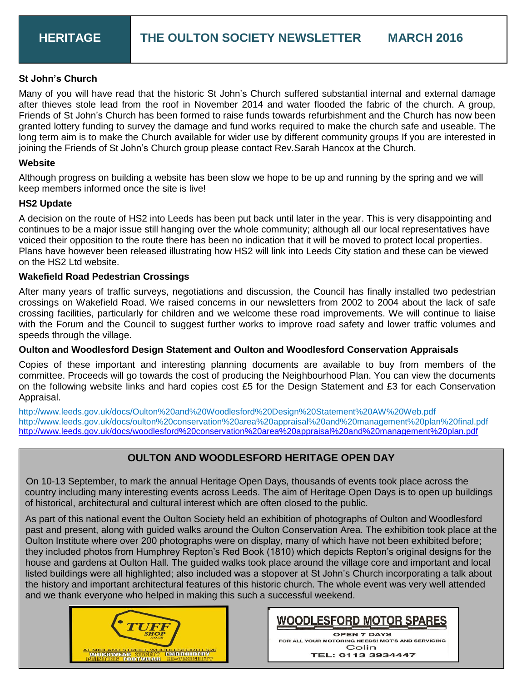#### **St John's Church**

Many of you will have read that the historic St John's Church suffered substantial internal and external damage after thieves stole lead from the roof in November 2014 and water flooded the fabric of the church. A group, Friends of St John's Church has been formed to raise funds towards refurbishment and the Church has now been granted lottery funding to survey the damage and fund works required to make the church safe and useable. The long term aim is to make the Church available for wider use by different community groups If you are interested in joining the Friends of St John's Church group please contact Rev.Sarah Hancox at the Church.

#### **Website**

Although progress on building a website has been slow we hope to be up and running by the spring and we will keep members informed once the site is live!

#### **HS2 Update**

A decision on the route of HS2 into Leeds has been put back until later in the year. This is very disappointing and continues to be a major issue still hanging over the whole community; although all our local representatives have voiced their opposition to the route there has been no indication that it will be moved to protect local properties. Plans have however been released illustrating how HS2 will link into Leeds City station and these can be viewed on the HS2 Ltd website.

#### **Wakefield Road Pedestrian Crossings**

After many years of traffic surveys, negotiations and discussion, the Council has finally installed two pedestrian crossings on Wakefield Road. We raised concerns in our newsletters from 2002 to 2004 about the lack of safe crossing facilities, particularly for children and we welcome these road improvements. We will continue to liaise with the Forum and the Council to suggest further works to improve road safety and lower traffic volumes and speeds through the village.

#### **Oulton and Woodlesford Design Statement and Oulton and Woodlesford Conservation Appraisals**

Copies of these important and interesting planning documents are available to buy from members of the committee. Proceeds will go towards the cost of producing the Neighbourhood Plan. You can view the documents on the following website links and hard copies cost £5 for the Design Statement and £3 for each Conservation Appraisal.

http://www.leeds.gov.uk/docs/Oulton%20and%20Woodlesford%20Design%20Statement%20AW%20Web.pdf http://www.leeds.gov.uk/docs/oulton%20conservation%20area%20appraisal%20and%20management%20plan%20final.pdf <http://www.leeds.gov.uk/docs/woodlesford%20conservation%20area%20appraisal%20and%20management%20plan.pdf>

#### **OULTON AND WOODLESFORD HERITAGE OPEN DAY**

 On 10-13 September, to mark the annual Heritage Open Days, thousands of events took place across the country including many interesting events across Leeds. The aim of Heritage Open Days is to open up buildings of historical, architectural and cultural interest which are often closed to the public.

As part of this national event the Oulton Society held an exhibition of photographs of Oulton and Woodlesford past and present, along with guided walks around the Oulton Conservation Area. The exhibition took place at the Oulton Institute where over 200 photographs were on display, many of which have not been exhibited before; they included photos from Humphrey Repton's Red Book (1810) which depicts Repton's original designs for the house and gardens at Oulton Hall. The guided walks took place around the village core and important and local listed buildings were all highlighted; also included was a stopover at St John's Church incorporating a talk about the history and important architectural features of this historic church. The whole event was very well attended and we thank everyone who helped in making this such a successful weekend.





TEL: 0113 3934447